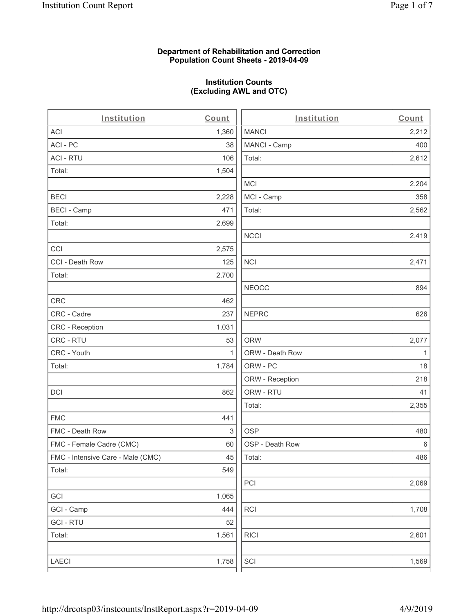### **Department of Rehabilitation and Correction Population Count Sheets - 2019-04-09**

# **Institution Counts (Excluding AWL and OTC)**

 $\overline{a}$ 

| Institution                       | Count        | Institution     | Count        |
|-----------------------------------|--------------|-----------------|--------------|
| ACI                               | 1,360        | <b>MANCI</b>    | 2,212        |
| ACI-PC                            | 38           | MANCI - Camp    | 400          |
| <b>ACI - RTU</b>                  | 106          | Total:          | 2,612        |
| Total:                            | 1,504        |                 |              |
|                                   |              | <b>MCI</b>      | 2,204        |
| <b>BECI</b>                       | 2,228        | MCI - Camp      | 358          |
| <b>BECI - Camp</b>                | 471          | Total:          | 2,562        |
| Total:                            | 2,699        |                 |              |
|                                   |              | <b>NCCI</b>     | 2,419        |
| CCI                               | 2,575        |                 |              |
| CCI - Death Row                   | 125          | <b>NCI</b>      | 2,471        |
| Total:                            | 2,700        |                 |              |
|                                   |              | <b>NEOCC</b>    | 894          |
| <b>CRC</b>                        | 462          |                 |              |
| CRC - Cadre                       | 237          | <b>NEPRC</b>    | 626          |
| CRC - Reception                   | 1,031        |                 |              |
| CRC - RTU                         | 53           | <b>ORW</b>      | 2,077        |
| CRC - Youth                       | $\mathbf{1}$ | ORW - Death Row | $\mathbf{1}$ |
| Total:                            | 1,784        | ORW - PC        | 18           |
|                                   |              | ORW - Reception | 218          |
| DCI                               | 862          | ORW - RTU       | 41           |
|                                   |              | Total:          | 2,355        |
| <b>FMC</b>                        | 441          |                 |              |
| FMC - Death Row                   | 3            | <b>OSP</b>      | 480          |
| FMC - Female Cadre (CMC)          | 60           | OSP - Death Row | 6            |
| FMC - Intensive Care - Male (CMC) | 45           | Total:          | 486          |
| Total:                            | 549          |                 |              |
|                                   |              | PCI             | 2,069        |
| GCI                               | 1,065        |                 |              |
| GCI - Camp                        | 444          | RCI             | 1,708        |
| <b>GCI - RTU</b>                  | 52           |                 |              |
| Total:                            | 1,561        | <b>RICI</b>     | 2,601        |
|                                   |              |                 |              |
| LAECI                             | 1,758        | SCI             | 1,569        |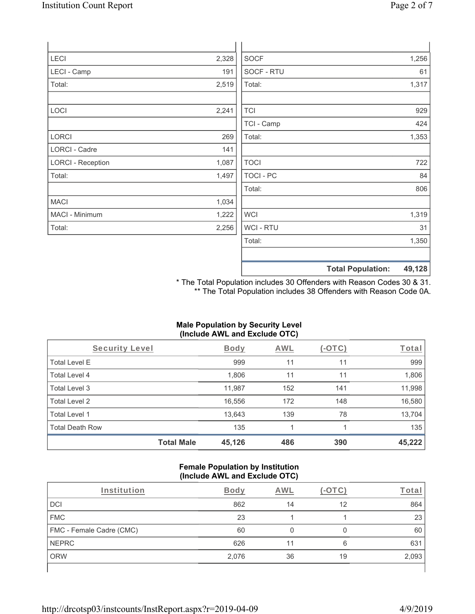| LECI                     | 2,328 | <b>SOCF</b> | 1,256 |
|--------------------------|-------|-------------|-------|
| LECI - Camp              | 191   | SOCF - RTU  | 61    |
| Total:                   | 2,519 | Total:      | 1,317 |
| LOCI                     | 2,241 | <b>TCI</b>  | 929   |
|                          |       | TCI - Camp  | 424   |
| <b>LORCI</b>             | 269   | Total:      | 1,353 |
| <b>LORCI - Cadre</b>     | 141   |             |       |
| <b>LORCI - Reception</b> | 1,087 | <b>TOCI</b> | 722   |
| Total:                   | 1,497 | TOCI - PC   | 84    |
|                          |       | Total:      | 806   |
| <b>MACI</b>              | 1,034 |             |       |
| MACI - Minimum           | 1,222 | <b>WCI</b>  | 1,319 |

Total: 1,350 **Total Population: 49,128**

WCI - RTU 31

\* The Total Population includes 30 Offenders with Reason Codes 30 & 31. \*\* The Total Population includes 38 Offenders with Reason Code 0A.

## **Male Population by Security Level (Include AWL and Exclude OTC)**

| Security Level         |                   | <b>Body</b> | AWL | (-OTC) | Total  |
|------------------------|-------------------|-------------|-----|--------|--------|
| <b>Total Level E</b>   |                   | 999         | 11  | 11     | 999    |
| Total Level 4          |                   | 1,806       | 11  | 11     | 1,806  |
| Total Level 3          |                   | 11,987      | 152 | 141    | 11,998 |
| Total Level 2          |                   | 16,556      | 172 | 148    | 16,580 |
| Total Level 1          |                   | 13,643      | 139 | 78     | 13,704 |
| <b>Total Death Row</b> |                   | 135         |     |        | 135    |
|                        | <b>Total Male</b> | 45,126      | 486 | 390    | 45,222 |

#### **Female Population by Institution (Include AWL and Exclude OTC)**

| Institution              | <b>Body</b> | AWL |    | <u><sup>r</sup>ota</u> i |
|--------------------------|-------------|-----|----|--------------------------|
| <b>DCI</b>               | 862         | 14  | 12 | 864                      |
| <b>FMC</b>               | 23          |     |    | 23                       |
| FMC - Female Cadre (CMC) | 60          |     | O  | 60                       |
| <b>NEPRC</b>             | 626         |     | 6  | 631                      |
| <b>ORW</b>               | 2,076       | 36  | 19 | 2,093                    |
|                          |             |     |    |                          |

Total: 2,256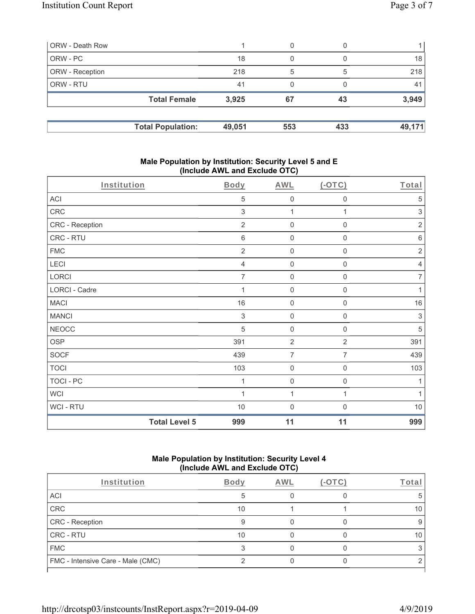| ORW - Death Row        |                          |        | 0   |     |                |
|------------------------|--------------------------|--------|-----|-----|----------------|
| ORW - PC               |                          | 18     |     |     | 18             |
| <b>ORW</b> - Reception |                          | 218    | 5   | 5   | 218            |
| <b>ORW - RTU</b>       |                          | 41     | 0   |     | 4 <sup>1</sup> |
|                        | <b>Total Female</b>      | 3,925  | 67  | 43  | 3,949          |
|                        |                          |        |     |     |                |
|                        | <b>Total Population:</b> | 49,051 | 553 | 433 | 49,171         |

### **Male Population by Institution: Security Level 5 and E (Include AWL and Exclude OTC)**

| Institution      |                      | <b>Body</b>               | <b>AWL</b>          | $(-OTC)$            | Total                     |
|------------------|----------------------|---------------------------|---------------------|---------------------|---------------------------|
| ACI              |                      | 5                         | $\mathbf 0$         | 0                   | 5                         |
| CRC              |                      | 3                         | 1                   | 1                   | $\sqrt{3}$                |
| CRC - Reception  |                      | $\overline{2}$            | $\mathbf 0$         | 0                   | $\overline{2}$            |
| CRC - RTU        |                      | $\,6$                     | $\mathbf 0$         | $\mathsf 0$         | $\,6$                     |
| <b>FMC</b>       |                      | $\overline{2}$            | $\mathsf{O}\xspace$ | $\mathsf{O}\xspace$ | $\sqrt{2}$                |
| LECI             |                      | $\overline{4}$            | $\mathbf 0$         | 0                   | $\overline{4}$            |
| LORCI            |                      | $\overline{7}$            | $\mathbf 0$         | 0                   | $\overline{7}$            |
| LORCI - Cadre    |                      | 1                         | $\mathbf 0$         | $\mathsf{O}\xspace$ | $\mathbf{1}$              |
| <b>MACI</b>      |                      | 16                        | $\mathbf 0$         | 0                   | 16                        |
| <b>MANCI</b>     |                      | $\ensuremath{\mathsf{3}}$ | $\mathbf 0$         | 0                   | $\ensuremath{\mathsf{3}}$ |
| <b>NEOCC</b>     |                      | 5                         | $\mathbf 0$         | 0                   | 5                         |
| <b>OSP</b>       |                      | 391                       | $\overline{2}$      | $\overline{2}$      | 391                       |
| <b>SOCF</b>      |                      | 439                       | $\overline{7}$      | $\overline{7}$      | 439                       |
| <b>TOCI</b>      |                      | 103                       | $\mathbf 0$         | $\mathbf 0$         | 103                       |
| <b>TOCI - PC</b> |                      | 1                         | $\mathbf 0$         | $\mathbf 0$         | 1                         |
| <b>WCI</b>       |                      | 1                         | 1                   |                     | 1                         |
| WCI - RTU        |                      | 10                        | $\overline{0}$      | $\mathbf{0}$        | 10                        |
|                  | <b>Total Level 5</b> | 999                       | 11                  | 11                  | 999                       |

## **Male Population by Institution: Security Level 4 (Include AWL and Exclude OTC)**

| Institution                       | <b>Body</b> | <b>AWL</b> | Γotal |
|-----------------------------------|-------------|------------|-------|
| ACI                               |             |            |       |
| CRC                               | 10          |            | 10    |
| <b>CRC</b> - Reception            |             |            |       |
| CRC - RTU                         | 10          |            |       |
| <b>FMC</b>                        |             |            |       |
| FMC - Intensive Care - Male (CMC) |             |            |       |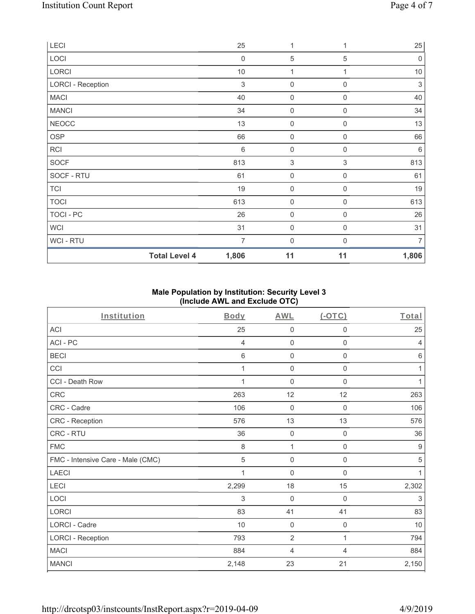| LECI                     | 25               | 1                         |                  | 25          |
|--------------------------|------------------|---------------------------|------------------|-------------|
| LOCI                     | $\boldsymbol{0}$ | $\sqrt{5}$                | 5                | $\mathbf 0$ |
| LORCI                    | $10$             | 1                         | 1                | $10$        |
| <b>LORCI - Reception</b> | 3                | $\boldsymbol{0}$          | $\Omega$         | $\sqrt{3}$  |
| <b>MACI</b>              | 40               | $\mathsf{O}\xspace$       | $\mathbf 0$      | 40          |
| <b>MANCI</b>             | 34               | 0                         | $\mathbf 0$      | 34          |
| <b>NEOCC</b>             | 13               | $\mathsf{O}\xspace$       | $\mathbf 0$      | 13          |
| OSP                      | 66               | $\mathsf{O}\xspace$       | $\mathbf 0$      | 66          |
| <b>RCI</b>               | $\,6$            | $\boldsymbol{0}$          | $\boldsymbol{0}$ | 6           |
| SOCF                     | 813              | $\ensuremath{\mathsf{3}}$ | 3                | 813         |
| SOCF - RTU               | 61               | $\mathsf{O}\xspace$       | $\mathbf 0$      | 61          |
| <b>TCI</b>               | 19               | $\mathsf{O}\xspace$       | $\boldsymbol{0}$ | 19          |
| <b>TOCI</b>              | 613              | $\mathsf{O}\xspace$       | $\mathbf 0$      | 613         |
| TOCI - PC                | 26               | $\mathsf{O}\xspace$       | $\boldsymbol{0}$ | 26          |
| <b>WCI</b>               | 31               | $\mathbf 0$               | $\mathbf 0$      | 31          |
| <b>WCI-RTU</b>           | $\overline{7}$   | $\mathbf{0}$              | $\Omega$         | 7           |
| <b>Total Level 4</b>     | 1,806            | 11                        | 11               | 1,806       |

# **Male Population by Institution: Security Level 3 (Include AWL and Exclude OTC)**

| Institution                       | <b>Body</b> | <b>AWL</b>          | (OTC)               | Total |
|-----------------------------------|-------------|---------------------|---------------------|-------|
| <b>ACI</b>                        | 25          | 0                   | $\mathbf 0$         | 25    |
| ACI-PC                            | 4           | 0                   | $\mathbf 0$         | 4     |
| <b>BECI</b>                       | $\,6$       | $\mathsf{O}\xspace$ | 0                   | $\,6$ |
| CCI                               | 1           | 0                   | $\boldsymbol{0}$    | 1     |
| CCI - Death Row                   |             | 0                   | $\mathbf 0$         | 1     |
| CRC                               | 263         | 12                  | 12                  | 263   |
| CRC - Cadre                       | 106         | $\mathbf 0$         | $\boldsymbol{0}$    | 106   |
| <b>CRC - Reception</b>            | 576         | 13                  | 13                  | 576   |
| CRC - RTU                         | 36          | $\mathsf{O}\xspace$ | $\mathbf 0$         | 36    |
| <b>FMC</b>                        | $\,8\,$     | 1                   | $\mathsf{O}\xspace$ | $9\,$ |
| FMC - Intensive Care - Male (CMC) | 5           | 0                   | $\boldsymbol{0}$    | 5     |
| <b>LAECI</b>                      | 1           | 0                   | $\mathsf{O}\xspace$ | 1     |
| LECI                              | 2,299       | 18                  | 15                  | 2,302 |
| LOCI                              | 3           | $\mathbf 0$         | $\mathbf 0$         | 3     |
| LORCI                             | 83          | 41                  | 41                  | 83    |
| <b>LORCI - Cadre</b>              | 10          | $\mathbf 0$         | $\mathbf 0$         | 10    |
| <b>LORCI - Reception</b>          | 793         | $\overline{2}$      | $\mathbf{1}$        | 794   |
| <b>MACI</b>                       | 884         | $\overline{4}$      | 4                   | 884   |
| <b>MANCI</b>                      | 2,148       | 23                  | 21                  | 2,150 |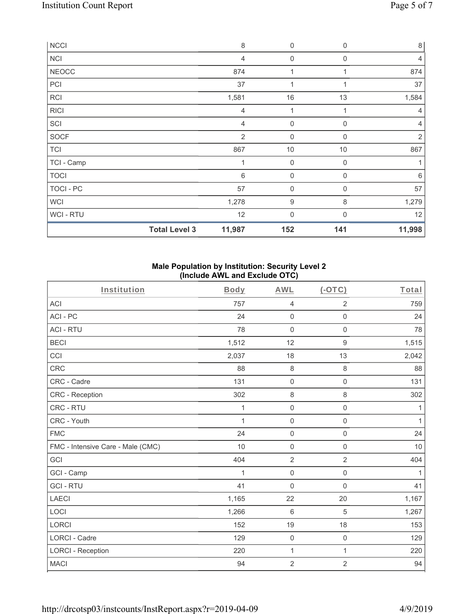| NCCI           |                      | 8              | $\boldsymbol{0}$    | $\mathbf 0$ | $\,8\,$        |
|----------------|----------------------|----------------|---------------------|-------------|----------------|
| <b>NCI</b>     |                      | 4              | 0                   | $\mathbf 0$ | $\overline{4}$ |
| <b>NEOCC</b>   |                      | 874            |                     |             | 874            |
| PCI            |                      | 37             | $\mathbf 1$         | 1           | 37             |
| <b>RCI</b>     |                      | 1,581          | $16\,$              | 13          | 1,584          |
| <b>RICI</b>    |                      | 4              | 1                   | 1           | $\overline{4}$ |
| SCI            |                      | 4              | $\mathsf{O}\xspace$ | $\mathbf 0$ | 4              |
| SOCF           |                      | $\overline{2}$ | $\boldsymbol{0}$    | $\mathbf 0$ | $\overline{2}$ |
| <b>TCI</b>     |                      | 867            | $10$                | $10$        | 867            |
| TCI - Camp     |                      | 1              | $\mathbf 0$         | $\mathbf 0$ |                |
| <b>TOCI</b>    |                      | $\,6$          | $\mathsf{O}\xspace$ | $\mathbf 0$ | 6              |
| TOCI - PC      |                      | 57             | $\mathbf 0$         | $\mathbf 0$ | 57             |
| <b>WCI</b>     |                      | 1,278          | 9                   | 8           | 1,279          |
| <b>WCI-RTU</b> |                      | 12             | 0                   | $\Omega$    | 12             |
|                | <b>Total Level 3</b> | 11,987         | 152                 | 141         | 11,998         |

#### **Male Population by Institution: Security Level 2 (Include AWL and Exclude OTC)**

| Institution                       | <b>Body</b> | <b>AWL</b>          | $($ -OTC $)$        | Total        |
|-----------------------------------|-------------|---------------------|---------------------|--------------|
| <b>ACI</b>                        | 757         | $\overline{4}$      | $\overline{2}$      | 759          |
| ACI-PC                            | 24          | $\mathsf{O}\xspace$ | 0                   | 24           |
| <b>ACI - RTU</b>                  | 78          | $\mathsf{O}\xspace$ | $\mathsf 0$         | 78           |
| <b>BECI</b>                       | 1,512       | 12                  | 9                   | 1,515        |
| CCI                               | 2,037       | 18                  | 13                  | 2,042        |
| <b>CRC</b>                        | 88          | $\,8\,$             | 8                   | 88           |
| CRC - Cadre                       | 131         | $\mathsf 0$         | $\mathbf 0$         | 131          |
| <b>CRC</b> - Reception            | 302         | $\,8\,$             | 8                   | 302          |
| CRC - RTU                         | 1           | $\mathsf{O}\xspace$ | 0                   | 1            |
| CRC - Youth                       | 1           | $\mathsf 0$         | 0                   | 1            |
| <b>FMC</b>                        | 24          | $\mathsf 0$         | $\mathsf{O}\xspace$ | 24           |
| FMC - Intensive Care - Male (CMC) | 10          | $\mathbf 0$         | 0                   | 10           |
| GCI                               | 404         | $\overline{2}$      | $\overline{2}$      | 404          |
| GCI - Camp                        | 1           | $\mathsf 0$         | $\mathsf{O}\xspace$ | $\mathbf{1}$ |
| <b>GCI-RTU</b>                    | 41          | $\mathsf{O}\xspace$ | 0                   | 41           |
| <b>LAECI</b>                      | 1,165       | 22                  | 20                  | 1,167        |
| LOCI                              | 1,266       | $\,6\,$             | 5                   | 1,267        |
| <b>LORCI</b>                      | 152         | 19                  | 18                  | 153          |
| <b>LORCI - Cadre</b>              | 129         | $\mathbf 0$         | $\mathbf 0$         | 129          |
| <b>LORCI - Reception</b>          | 220         | 1                   | $\mathbf{1}$        | 220          |
| <b>MACI</b>                       | 94          | $\sqrt{2}$          | $\overline{c}$      | 94           |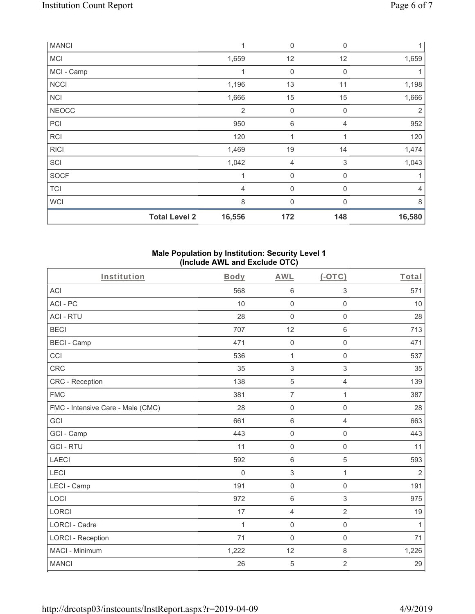| <b>MANCI</b> |                      | 1              | $\mathbf 0$      | 0           | 1              |
|--------------|----------------------|----------------|------------------|-------------|----------------|
| <b>MCI</b>   |                      | 1,659          | 12               | 12          | 1,659          |
| MCI - Camp   |                      | 1              | 0                | $\mathbf 0$ |                |
| <b>NCCI</b>  |                      | 1,196          | 13               | 11          | 1,198          |
| <b>NCI</b>   |                      | 1,666          | 15               | 15          | 1,666          |
| <b>NEOCC</b> |                      | $\overline{2}$ | $\boldsymbol{0}$ | $\mathbf 0$ | 2              |
| PCI          |                      | 950            | 6                | 4           | 952            |
| <b>RCI</b>   |                      | 120            | 1                |             | 120            |
| <b>RICI</b>  |                      | 1,469          | 19               | 14          | 1,474          |
| SCI          |                      | 1,042          | 4                | 3           | 1,043          |
| <b>SOCF</b>  |                      | 1              | $\mathbf 0$      | $\mathbf 0$ |                |
| <b>TCI</b>   |                      | $\overline{4}$ | $\mathbf 0$      | 0           | $\overline{4}$ |
| <b>WCI</b>   |                      | 8              | $\mathbf 0$      | 0           | 8              |
|              | <b>Total Level 2</b> | 16,556         | 172              | 148         | 16,580         |

### **Male Population by Institution: Security Level 1 (Include AWL and Exclude OTC)**

| Institution                       | Body        | <b>AWL</b>          | $(-OTC)$            | Total          |
|-----------------------------------|-------------|---------------------|---------------------|----------------|
| <b>ACI</b>                        | 568         | $\,6\,$             | 3                   | 571            |
| ACI-PC                            | 10          | $\mathsf 0$         | $\mathsf 0$         | 10             |
| <b>ACI - RTU</b>                  | 28          | $\mathsf 0$         | $\mathsf{O}\xspace$ | 28             |
| <b>BECI</b>                       | 707         | 12                  | 6                   | 713            |
| <b>BECI - Camp</b>                | 471         | $\mathbf 0$         | $\mathsf 0$         | 471            |
| CCI                               | 536         | 1                   | $\mathsf 0$         | 537            |
| <b>CRC</b>                        | 35          | $\sqrt{3}$          | 3                   | 35             |
| <b>CRC</b> - Reception            | 138         | $\sqrt{5}$          | $\overline{4}$      | 139            |
| <b>FMC</b>                        | 381         | $\overline{7}$      | 1                   | 387            |
| FMC - Intensive Care - Male (CMC) | 28          | $\mathsf{O}\xspace$ | $\mathsf 0$         | 28             |
| GCI                               | 661         | $\,6\,$             | $\overline{4}$      | 663            |
| GCI - Camp                        | 443         | $\mathsf{O}\xspace$ | 0                   | 443            |
| <b>GCI-RTU</b>                    | 11          | $\mathbf 0$         | $\mathbf 0$         | 11             |
| <b>LAECI</b>                      | 592         | $\,6\,$             | 5                   | 593            |
| LECI                              | $\mathbf 0$ | 3                   | $\mathbf{1}$        | $\overline{2}$ |
| LECI - Camp                       | 191         | $\mathsf 0$         | $\mathsf 0$         | 191            |
| LOCI                              | 972         | $\,6\,$             | $\,$ 3 $\,$         | 975            |
| <b>LORCI</b>                      | 17          | $\overline{4}$      | $\overline{2}$      | 19             |
| LORCI - Cadre                     | $\mathbf 1$ | $\mathsf{O}\xspace$ | $\mathsf 0$         | $\mathbf{1}$   |
| <b>LORCI - Reception</b>          | 71          | $\mathbf 0$         | $\mathbf 0$         | 71             |
| MACI - Minimum                    | 1,222       | 12                  | $\,8\,$             | 1,226          |
| <b>MANCI</b>                      | 26          | $\overline{5}$      | $\overline{2}$      | 29             |